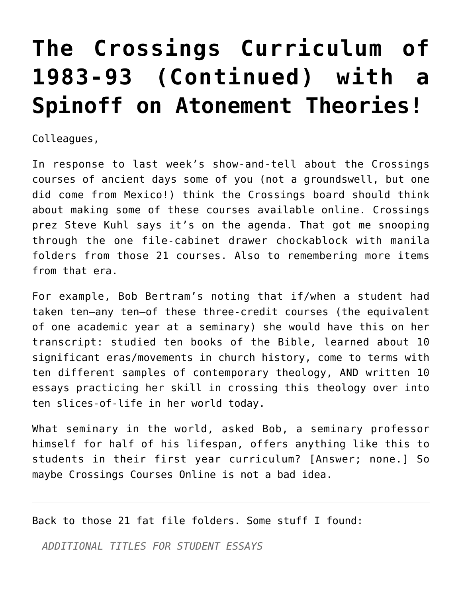## **[The Crossings Curriculum of](https://crossings.org/the-crossings-curriculum-of-1983-93-continued-with-a-spinoff-on-atonement-theories/) [1983-93 \(Continued\) with a](https://crossings.org/the-crossings-curriculum-of-1983-93-continued-with-a-spinoff-on-atonement-theories/) [Spinoff on Atonement Theories!](https://crossings.org/the-crossings-curriculum-of-1983-93-continued-with-a-spinoff-on-atonement-theories/)**

Colleagues,

In response to last week's show-and-tell about the Crossings courses of ancient days some of you (not a groundswell, but one did come from Mexico!) think the Crossings board should think about making some of these courses available online. Crossings prez Steve Kuhl says it's on the agenda. That got me snooping through the one file-cabinet drawer chockablock with manila folders from those 21 courses. Also to remembering more items from that era.

For example, Bob Bertram's noting that if/when a student had taken ten–any ten–of these three-credit courses (the equivalent of one academic year at a seminary) she would have this on her transcript: studied ten books of the Bible, learned about 10 significant eras/movements in church history, come to terms with ten different samples of contemporary theology, AND written 10 essays practicing her skill in crossing this theology over into ten slices-of-life in her world today.

What seminary in the world, asked Bob, a seminary professor himself for half of his lifespan, offers anything like this to students in their first year curriculum? [Answer; none.] So maybe Crossings Courses Online is not a bad idea.

Back to those 21 fat file folders. Some stuff I found:

*ADDITIONAL TITLES FOR STUDENT ESSAYS*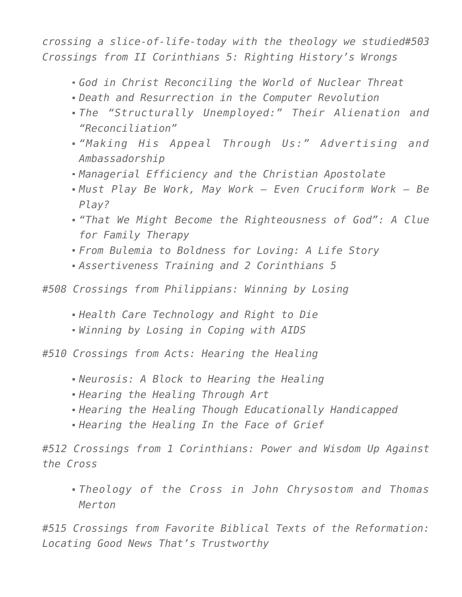*crossing a slice-of-life-today with the theology we studied#503 Crossings from II Corinthians 5: Righting History's Wrongs*

- *God in Christ Reconciling the World of Nuclear Threat*
- *Death and Resurrection in the Computer Revolution*
- *The "Structurally Unemployed:" Their Alienation and "Reconciliation"*
- *"Making His Appeal Through Us:" Advertising and Ambassadorship*
- *Managerial Efficiency and the Christian Apostolate*
- *Must Play Be Work, May Work Even Cruciform Work Be Play?*
- *"That We Might Become the Righteousness of God": A Clue for Family Therapy*
- *From Bulemia to Boldness for Loving: A Life Story*
- *Assertiveness Training and 2 Corinthians 5*

*#508 Crossings from Philippians: Winning by Losing*

- *Health Care Technology and Right to Die*
- *Winning by Losing in Coping with AIDS*

*#510 Crossings from Acts: Hearing the Healing*

- *Neurosis: A Block to Hearing the Healing*
- *Hearing the Healing Through Art*
- *Hearing the Healing Though Educationally Handicapped*
- *Hearing the Healing In the Face of Grief*

*#512 Crossings from 1 Corinthians: Power and Wisdom Up Against the Cross*

*Theology of the Cross in John Chrysostom and Thomas Merton*

*#515 Crossings from Favorite Biblical Texts of the Reformation: Locating Good News That's Trustworthy*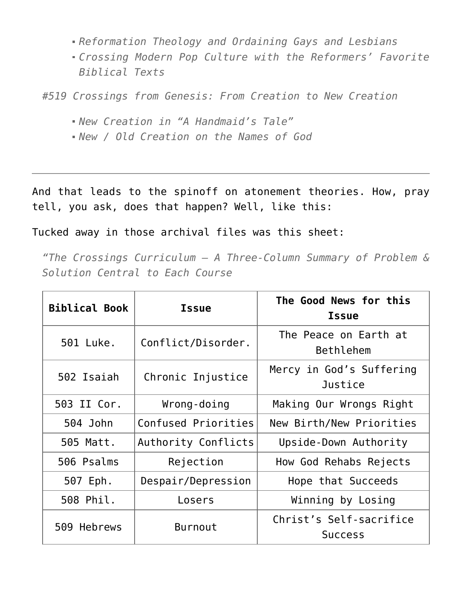- *Reformation Theology and Ordaining Gays and Lesbians*
- *Crossing Modern Pop Culture with the Reformers' Favorite Biblical Texts*

*#519 Crossings from Genesis: From Creation to New Creation*

- *New Creation in "A Handmaid's Tale"*
- *New / Old Creation on the Names of God*

And that leads to the spinoff on atonement theories. How, pray tell, you ask, does that happen? Well, like this:

Tucked away in those archival files was this sheet:

*"The Crossings Curriculum — A Three-Column Summary of Problem & Solution Central to Each Course*

| <b>Biblical Book</b> | <b>Issue</b>        | The Good News for this<br><b>Issue</b>    |
|----------------------|---------------------|-------------------------------------------|
| 501 Luke.            | Conflict/Disorder.  | The Peace on Earth at<br>Bethlehem        |
| 502 Isaiah           | Chronic Injustice   | Mercy in God's Suffering<br>Justice       |
| 503 II Cor.          | Wrong-doing         | Making Our Wrongs Right                   |
| 504 John             | Confused Priorities | New Birth/New Priorities                  |
| 505 Matt.            | Authority Conflicts | Upside-Down Authority                     |
| 506 Psalms           | Rejection           | How God Rehabs Rejects                    |
| 507 Eph.             | Despair/Depression  | Hope that Succeeds                        |
| 508 Phil.            | Losers              | Winning by Losing                         |
| 509 Hebrews          | <b>Burnout</b>      | Christ's Self-sacrifice<br><b>Success</b> |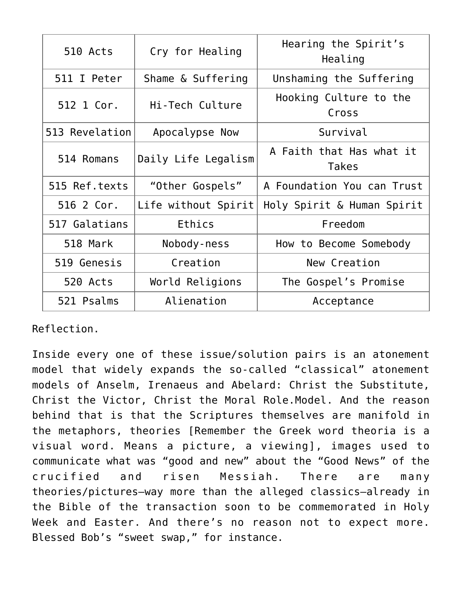| 510 Acts       | Cry for Healing     | Hearing the Spirit's<br>Healing          |
|----------------|---------------------|------------------------------------------|
| 511 I Peter    | Shame & Suffering   | Unshaming the Suffering                  |
| 512 1 Cor.     | Hi-Tech Culture     | Hooking Culture to the<br>Cross          |
| 513 Revelation | Apocalypse Now      | Survival                                 |
| 514 Romans     | Daily Life Legalism | A Faith that Has what it<br><b>Takes</b> |
| 515 Ref.texts  | "Other Gospels"     | A Foundation You can Trust               |
| 516 2 Cor.     | Life without Spirit | Holy Spirit & Human Spirit               |
| 517 Galatians  | Ethics              | Freedom                                  |
| 518 Mark       | Nobody-ness         | How to Become Somebody                   |
| 519 Genesis    | Creation            | New Creation                             |
| 520 Acts       | World Religions     | The Gospel's Promise                     |
| 521 Psalms     | Alienation          | Acceptance                               |

Reflection.

Inside every one of these issue/solution pairs is an atonement model that widely expands the so-called "classical" atonement models of Anselm, Irenaeus and Abelard: Christ the Substitute, Christ the Victor, Christ the Moral Role.Model. And the reason behind that is that the Scriptures themselves are manifold in the metaphors, theories [Remember the Greek word theoria is a visual word. Means a picture, a viewing], images used to communicate what was "good and new" about the "Good News" of the crucified and risen Messiah. There are many theories/pictures–way more than the alleged classics–already in the Bible of the transaction soon to be commemorated in Holy Week and Easter. And there's no reason not to expect more. Blessed Bob's "sweet swap," for instance.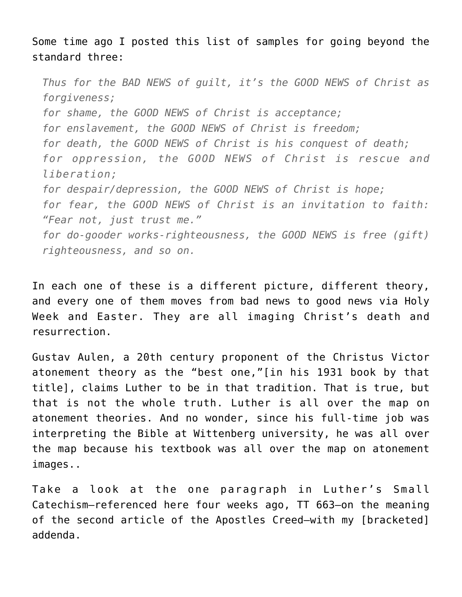Some time ago I posted this list of samples for going beyond the standard three:

*Thus for the BAD NEWS of guilt, it's the GOOD NEWS of Christ as forgiveness; for shame, the GOOD NEWS of Christ is acceptance; for enslavement, the GOOD NEWS of Christ is freedom; for death, the GOOD NEWS of Christ is his conquest of death; for oppression, the GOOD NEWS of Christ is rescue and liberation; for despair/depression, the GOOD NEWS of Christ is hope; for fear, the GOOD NEWS of Christ is an invitation to faith: "Fear not, just trust me." for do-gooder works-righteousness, the GOOD NEWS is free (gift) righteousness, and so on.*

In each one of these is a different picture, different theory, and every one of them moves from bad news to good news via Holy Week and Easter. They are all imaging Christ's death and resurrection.

Gustav Aulen, a 20th century proponent of the Christus Victor atonement theory as the "best one,"[in his 1931 book by that title], claims Luther to be in that tradition. That is true, but that is not the whole truth. Luther is all over the map on atonement theories. And no wonder, since his full-time job was interpreting the Bible at Wittenberg university, he was all over the map because his textbook was all over the map on atonement images..

Take a look at the one paragraph in Luther's Small Catechism–referenced here four weeks ago, TT 663–on the meaning of the second article of the Apostles Creed–with my [bracketed] addenda.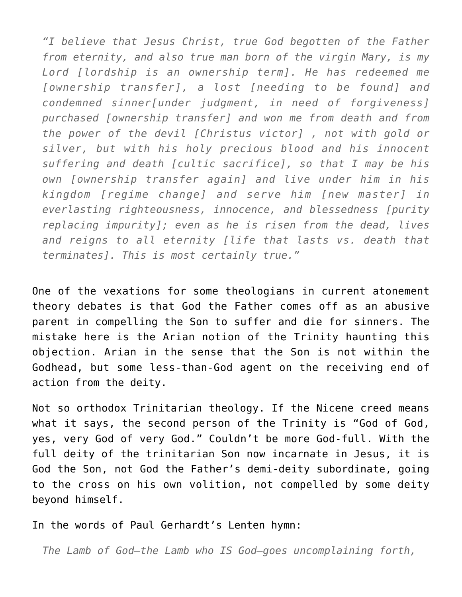*"I believe that Jesus Christ, true God begotten of the Father from eternity, and also true man born of the virgin Mary, is my Lord [lordship is an ownership term]. He has redeemed me [ownership transfer], a lost [needing to be found] and condemned sinner[under judgment, in need of forgiveness] purchased [ownership transfer] and won me from death and from the power of the devil [Christus victor] , not with gold or silver, but with his holy precious blood and his innocent suffering and death [cultic sacrifice], so that I may be his own [ownership transfer again] and live under him in his kingdom [regime change] and serve him [new master] in everlasting righteousness, innocence, and blessedness [purity replacing impurity]; even as he is risen from the dead, lives and reigns to all eternity [life that lasts vs. death that terminates]. This is most certainly true."*

One of the vexations for some theologians in current atonement theory debates is that God the Father comes off as an abusive parent in compelling the Son to suffer and die for sinners. The mistake here is the Arian notion of the Trinity haunting this objection. Arian in the sense that the Son is not within the Godhead, but some less-than-God agent on the receiving end of action from the deity.

Not so orthodox Trinitarian theology. If the Nicene creed means what it says, the second person of the Trinity is "God of God, yes, very God of very God." Couldn't be more God-full. With the full deity of the trinitarian Son now incarnate in Jesus, it is God the Son, not God the Father's demi-deity subordinate, going to the cross on his own volition, not compelled by some deity beyond himself.

In the words of Paul Gerhardt's Lenten hymn:

*The Lamb of God–the Lamb who IS God–goes uncomplaining forth,*